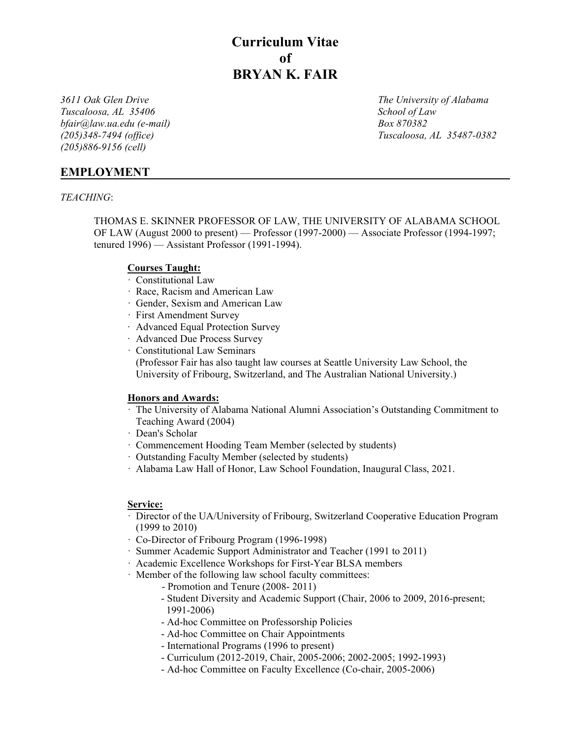**Curriculum Vitae of BRYAN K. FAIR**

*Tuscaloosa, AL 35406* School of Law *bfair@law.ua.edu (e-mail) Box 870382 (205)886-9156 (cell)* 

*3611 Oak Glen Drive The University of Alabama (205)348-7494 (office) Tuscaloosa, AL 35487-0382*

# **EMPLOYMENT**

## *TEACHING*:

THOMAS E. SKINNER PROFESSOR OF LAW, THE UNIVERSITY OF ALABAMA SCHOOL OF LAW (August 2000 to present) — Professor (1997-2000) — Associate Professor (1994-1997; tenured 1996) — Assistant Professor (1991-1994).

## **Courses Taught:**

- · Constitutional Law
- · Race, Racism and American Law
- · Gender, Sexism and American Law
- · First Amendment Survey
- ∙ Advanced Equal Protection Survey
- ∙ Advanced Due Process Survey
- · Constitutional Law Seminars

(Professor Fair has also taught law courses at Seattle University Law School, the University of Fribourg, Switzerland, and The Australian National University.)

### **Honors and Awards:**

- · The University of Alabama National Alumni Association's Outstanding Commitment to Teaching Award (2004)
- · Dean's Scholar
- · Commencement Hooding Team Member (selected by students)
- · Outstanding Faculty Member (selected by students)
- · Alabama Law Hall of Honor, Law School Foundation, Inaugural Class, 2021.

## **Service:**

- · Director of the UA/University of Fribourg, Switzerland Cooperative Education Program (1999 to 2010)
- · Co-Director of Fribourg Program (1996-1998)
- · Summer Academic Support Administrator and Teacher (1991 to 2011)
- · Academic Excellence Workshops for First-Year BLSA members
- · Member of the following law school faculty committees:
	- Promotion and Tenure (2008- 2011)
	- Student Diversity and Academic Support (Chair, 2006 to 2009, 2016-present; 1991-2006)
	- Ad-hoc Committee on Professorship Policies
	- Ad-hoc Committee on Chair Appointments
	- International Programs (1996 to present)
	- Curriculum (2012-2019, Chair, 2005-2006; 2002-2005; 1992-1993)
	- Ad-hoc Committee on Faculty Excellence (Co-chair, 2005-2006)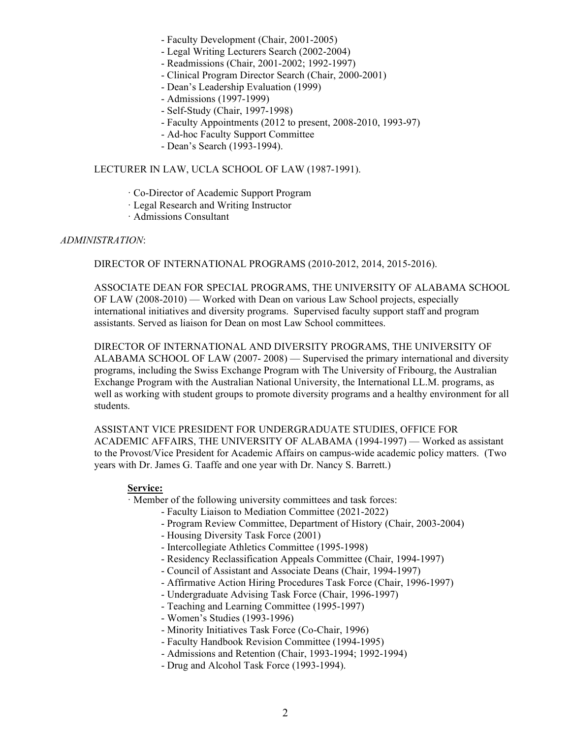- Faculty Development (Chair, 2001-2005)
- Legal Writing Lecturers Search (2002-2004)
- Readmissions (Chair, 2001-2002; 1992-1997)
- Clinical Program Director Search (Chair, 2000-2001)
- Dean's Leadership Evaluation (1999)
- Admissions (1997-1999)
- Self-Study (Chair, 1997-1998)
- Faculty Appointments (2012 to present, 2008-2010, 1993-97)
- Ad-hoc Faculty Support Committee
- Dean's Search (1993-1994).

## LECTURER IN LAW, UCLA SCHOOL OF LAW (1987-1991).

- · Co-Director of Academic Support Program
- · Legal Research and Writing Instructor
- · Admissions Consultant

### *ADMINISTRATION*:

DIRECTOR OF INTERNATIONAL PROGRAMS (2010-2012, 2014, 2015-2016).

ASSOCIATE DEAN FOR SPECIAL PROGRAMS, THE UNIVERSITY OF ALABAMA SCHOOL OF LAW (2008-2010) — Worked with Dean on various Law School projects, especially international initiatives and diversity programs. Supervised faculty support staff and program assistants. Served as liaison for Dean on most Law School committees.

DIRECTOR OF INTERNATIONAL AND DIVERSITY PROGRAMS, THE UNIVERSITY OF ALABAMA SCHOOL OF LAW (2007- 2008) — Supervised the primary international and diversity programs, including the Swiss Exchange Program with The University of Fribourg, the Australian Exchange Program with the Australian National University, the International LL.M. programs, as well as working with student groups to promote diversity programs and a healthy environment for all students.

ASSISTANT VICE PRESIDENT FOR UNDERGRADUATE STUDIES, OFFICE FOR ACADEMIC AFFAIRS, THE UNIVERSITY OF ALABAMA (1994-1997) — Worked as assistant to the Provost/Vice President for Academic Affairs on campus-wide academic policy matters. (Two years with Dr. James G. Taaffe and one year with Dr. Nancy S. Barrett.)

### **Service:**

· Member of the following university committees and task forces:

- Faculty Liaison to Mediation Committee (2021-2022)
- Program Review Committee, Department of History (Chair, 2003-2004)
- Housing Diversity Task Force (2001)
- Intercollegiate Athletics Committee (1995-1998)
- Residency Reclassification Appeals Committee (Chair, 1994-1997)
- Council of Assistant and Associate Deans (Chair, 1994-1997)
- Affirmative Action Hiring Procedures Task Force (Chair, 1996-1997)
- Undergraduate Advising Task Force (Chair, 1996-1997)
- Teaching and Learning Committee (1995-1997)
- Women's Studies (1993-1996)
- Minority Initiatives Task Force (Co-Chair, 1996)
- Faculty Handbook Revision Committee (1994-1995)
- Admissions and Retention (Chair, 1993-1994; 1992-1994)
- Drug and Alcohol Task Force (1993-1994).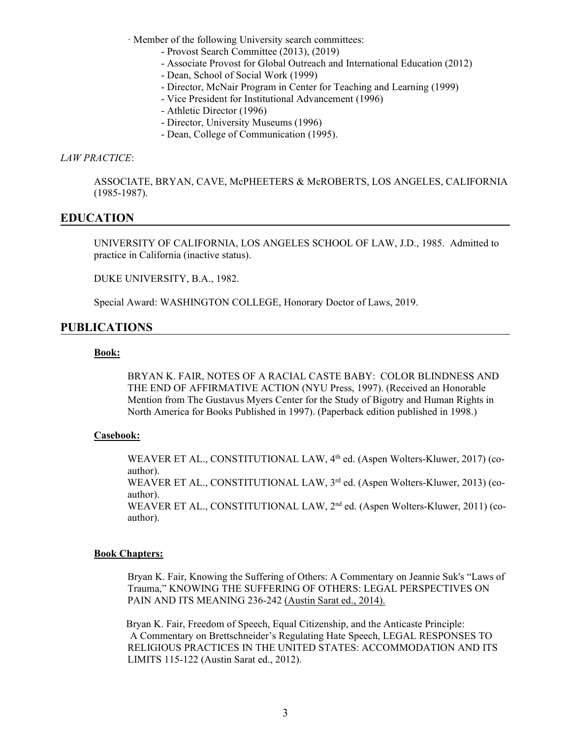· Member of the following University search committees:

- Provost Search Committee (2013), (2019)
- Associate Provost for Global Outreach and International Education (2012)
- Dean, School of Social Work (1999)
- Director, McNair Program in Center for Teaching and Learning (1999)
- Vice President for Institutional Advancement (1996)
- Athletic Director (1996)
- Director, University Museums (1996)
- Dean, College of Communication (1995).

### *LAW PRACTICE*:

ASSOCIATE, BRYAN, CAVE, McPHEETERS & McROBERTS, LOS ANGELES, CALIFORNIA (1985-1987).

## **EDUCATION**

UNIVERSITY OF CALIFORNIA, LOS ANGELES SCHOOL OF LAW, J.D., 1985. Admitted to practice in California (inactive status).

DUKE UNIVERSITY, B.A., 1982.

Special Award: WASHINGTON COLLEGE, Honorary Doctor of Laws, 2019.

## **PUBLICATIONS**

## **Book:**

BRYAN K. FAIR, NOTES OF A RACIAL CASTE BABY: COLOR BLINDNESS AND THE END OF AFFIRMATIVE ACTION (NYU Press, 1997). (Received an Honorable Mention from The Gustavus Myers Center for the Study of Bigotry and Human Rights in North America for Books Published in 1997). (Paperback edition published in 1998.)

## **Casebook:**

WEAVER ET AL., CONSTITUTIONAL LAW, 4<sup>th</sup> ed. (Aspen Wolters-Kluwer, 2017) (coauthor). WEAVER ET AL., CONSTITUTIONAL LAW, 3<sup>rd</sup> ed. (Aspen Wolters-Kluwer, 2013) (coauthor). WEAVER ET AL., CONSTITUTIONAL LAW, 2nd ed. (Aspen Wolters-Kluwer, 2011) (coauthor).

### **Book Chapters:**

Bryan K. Fair, Knowing the Suffering of Others: A Commentary on Jeannie Suk's "Laws of Trauma," KNOWING THE SUFFERING OF OTHERS: LEGAL PERSPECTIVES ON PAIN AND ITS MEANING 236-242 (Austin Sarat ed., 2014).

 Bryan K. Fair, Freedom of Speech, Equal Citizenship, and the Anticaste Principle: A Commentary on Brettschneider's Regulating Hate Speech, LEGAL RESPONSES TO RELIGIOUS PRACTICES IN THE UNITED STATES: ACCOMMODATION AND ITS LIMITS 115-122 (Austin Sarat ed., 2012).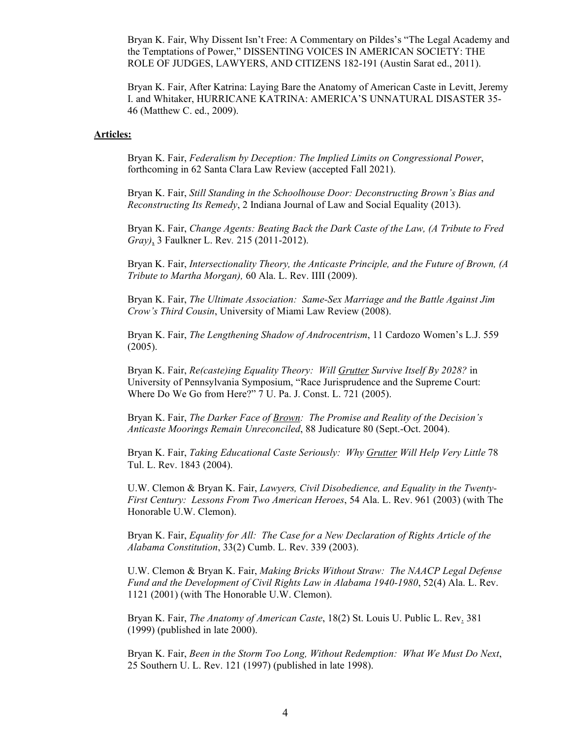Bryan K. Fair, Why Dissent Isn't Free: A Commentary on Pildes's "The Legal Academy and the Temptations of Power," DISSENTING VOICES IN AMERICAN SOCIETY: THE ROLE OF JUDGES, LAWYERS, AND CITIZENS 182-191 (Austin Sarat ed., 2011).

Bryan K. Fair, After Katrina: Laying Bare the Anatomy of American Caste in Levitt, Jeremy I. and Whitaker, HURRICANE KATRINA: AMERICA'S UNNATURAL DISASTER 35- 46 (Matthew C. ed., 2009).

#### **Articles:**

Bryan K. Fair, *Federalism by Deception: The Implied Limits on Congressional Power*, forthcoming in 62 Santa Clara Law Review (accepted Fall 2021).

Bryan K. Fair, *Still Standing in the Schoolhouse Door: Deconstructing Brown's Bias and Reconstructing Its Remedy*, 2 Indiana Journal of Law and Social Equality (2013).

Bryan K. Fair, *Change Agents: Beating Back the Dark Caste of the Law, (A Tribute to Fred Gray)*, 3 Faulkner L. Rev*.* 215 (2011-2012).

Bryan K. Fair, *Intersectionality Theory, the Anticaste Principle, and the Future of Brown, (A Tribute to Martha Morgan),* 60 Ala. L. Rev. IIII (2009).

Bryan K. Fair, *The Ultimate Association: Same-Sex Marriage and the Battle Against Jim Crow's Third Cousin*, University of Miami Law Review (2008).

Bryan K. Fair, *The Lengthening Shadow of Androcentrism*, 11 Cardozo Women's L.J. 559 (2005).

Bryan K. Fair, *Re(caste)ing Equality Theory: Will Grutter Survive Itself By 2028?* in University of Pennsylvania Symposium, "Race Jurisprudence and the Supreme Court: Where Do We Go from Here?" 7 U. Pa. J. Const. L. 721 (2005).

Bryan K. Fair, *The Darker Face of Brown: The Promise and Reality of the Decision's Anticaste Moorings Remain Unreconciled*, 88 Judicature 80 (Sept.-Oct. 2004).

Bryan K. Fair, *Taking Educational Caste Seriously: Why Grutter Will Help Very Little* 78 Tul. L. Rev. 1843 (2004).

U.W. Clemon & Bryan K. Fair, *Lawyers, Civil Disobedience, and Equality in the Twenty-First Century: Lessons From Two American Heroes*, 54 Ala. L. Rev. 961 (2003) (with The Honorable U.W. Clemon).

Bryan K. Fair, *Equality for All: The Case for a New Declaration of Rights Article of the Alabama Constitution*, 33(2) Cumb. L. Rev. 339 (2003).

U.W. Clemon & Bryan K. Fair, *Making Bricks Without Straw: The NAACP Legal Defense Fund and the Development of Civil Rights Law in Alabama 1940-1980*, 52(4) Ala. L. Rev. 1121 (2001) (with The Honorable U.W. Clemon).

Bryan K. Fair, *The Anatomy of American Caste*, 18(2) St. Louis U. Public L. Rev. 381 (1999) (published in late 2000).

Bryan K. Fair, *Been in the Storm Too Long, Without Redemption: What We Must Do Next*, 25 Southern U. L. Rev. 121 (1997) (published in late 1998).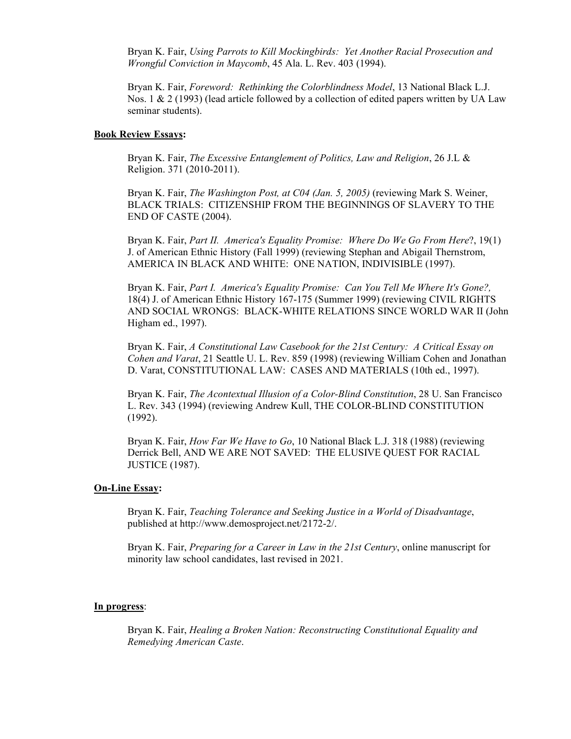Bryan K. Fair, *Using Parrots to Kill Mockingbirds: Yet Another Racial Prosecution and Wrongful Conviction in Maycomb*, 45 Ala. L. Rev. 403 (1994).

Bryan K. Fair, *Foreword: Rethinking the Colorblindness Model*, 13 National Black L.J. Nos. 1  $\&$  2 (1993) (lead article followed by a collection of edited papers written by UA Law seminar students).

#### **Book Review Essays:**

Bryan K. Fair, *The Excessive Entanglement of Politics, Law and Religion*, 26 J.L & Religion. 371 (2010-2011).

Bryan K. Fair, *The Washington Post, at C04 (Jan. 5, 2005)* (reviewing Mark S. Weiner, BLACK TRIALS: CITIZENSHIP FROM THE BEGINNINGS OF SLAVERY TO THE END OF CASTE (2004).

Bryan K. Fair, *Part II. America's Equality Promise: Where Do We Go From Here*?, 19(1) J. of American Ethnic History (Fall 1999) (reviewing Stephan and Abigail Thernstrom, AMERICA IN BLACK AND WHITE: ONE NATION, INDIVISIBLE (1997).

Bryan K. Fair, *Part I. America's Equality Promise: Can You Tell Me Where It's Gone?,* 18(4) J. of American Ethnic History 167-175 (Summer 1999) (reviewing CIVIL RIGHTS AND SOCIAL WRONGS: BLACK-WHITE RELATIONS SINCE WORLD WAR II (John Higham ed., 1997).

Bryan K. Fair, *A Constitutional Law Casebook for the 21st Century: A Critical Essay on Cohen and Varat*, 21 Seattle U. L. Rev. 859 (1998) (reviewing William Cohen and Jonathan D. Varat, CONSTITUTIONAL LAW: CASES AND MATERIALS (10th ed., 1997).

Bryan K. Fair, *The Acontextual Illusion of a Color-Blind Constitution*, 28 U. San Francisco L. Rev. 343 (1994) (reviewing Andrew Kull, THE COLOR-BLIND CONSTITUTION (1992).

Bryan K. Fair, *How Far We Have to Go*, 10 National Black L.J. 318 (1988) (reviewing Derrick Bell, AND WE ARE NOT SAVED: THE ELUSIVE QUEST FOR RACIAL JUSTICE (1987).

### **On-Line Essay:**

Bryan K. Fair, *Teaching Tolerance and Seeking Justice in a World of Disadvantage*, published at http://www.demosproject.net/2172-2/.

Bryan K. Fair, *Preparing for a Career in Law in the 21st Century*, online manuscript for minority law school candidates, last revised in 2021.

#### **In progress**:

Bryan K. Fair, *Healing a Broken Nation: Reconstructing Constitutional Equality and Remedying American Caste*.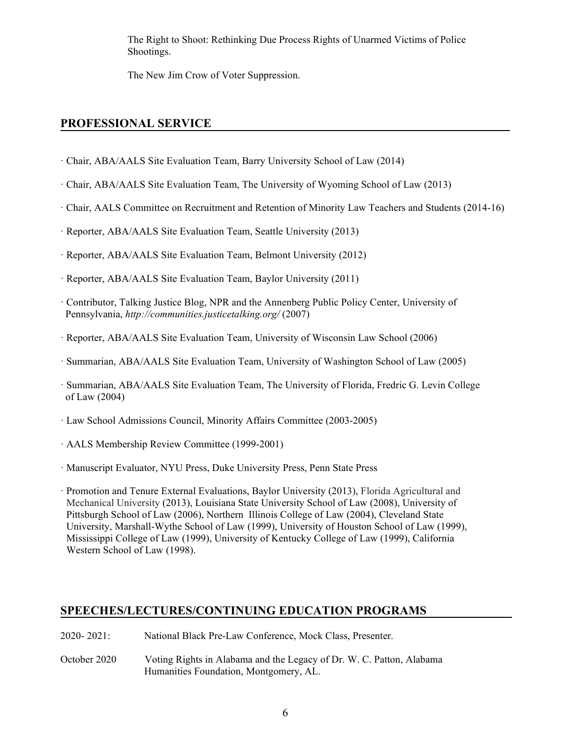The Right to Shoot: Rethinking Due Process Rights of Unarmed Victims of Police Shootings.

The New Jim Crow of Voter Suppression.

# **PROFESSIONAL SERVICE**

- · Chair, ABA/AALS Site Evaluation Team, Barry University School of Law (2014)
- · Chair, ABA/AALS Site Evaluation Team, The University of Wyoming School of Law (2013)
- · Chair, AALS Committee on Recruitment and Retention of Minority Law Teachers and Students (2014-16)
- · Reporter, ABA/AALS Site Evaluation Team, Seattle University (2013)
- · Reporter, ABA/AALS Site Evaluation Team, Belmont University (2012)
- · Reporter, ABA/AALS Site Evaluation Team, Baylor University (2011)
- · Contributor, Talking Justice Blog, NPR and the Annenberg Public Policy Center, University of Pennsylvania, *http://communities.justicetalking.org/* (2007)
- · Reporter, ABA/AALS Site Evaluation Team, University of Wisconsin Law School (2006)
- · Summarian, ABA/AALS Site Evaluation Team, University of Washington School of Law (2005)
- · Summarian, ABA/AALS Site Evaluation Team, The University of Florida, Fredric G. Levin College of Law (2004)
- · Law School Admissions Council, Minority Affairs Committee (2003-2005)
- · AALS Membership Review Committee (1999-2001)
- · Manuscript Evaluator, NYU Press, Duke University Press, Penn State Press

· Promotion and Tenure External Evaluations, Baylor University (2013), Florida Agricultural and Mechanical University (2013), Louisiana State University School of Law (2008), University of Pittsburgh School of Law (2006), Northern Illinois College of Law (2004), Cleveland State University, Marshall-Wythe School of Law (1999), University of Houston School of Law (1999), Mississippi College of Law (1999), University of Kentucky College of Law (1999), California Western School of Law (1998).

# **SPEECHES/LECTURES/CONTINUING EDUCATION PROGRAMS**

- 2020- 2021: National Black Pre-Law Conference, Mock Class, Presenter.
- October 2020 Voting Rights in Alabama and the Legacy of Dr. W. C. Patton, Alabama Humanities Foundation, Montgomery, AL.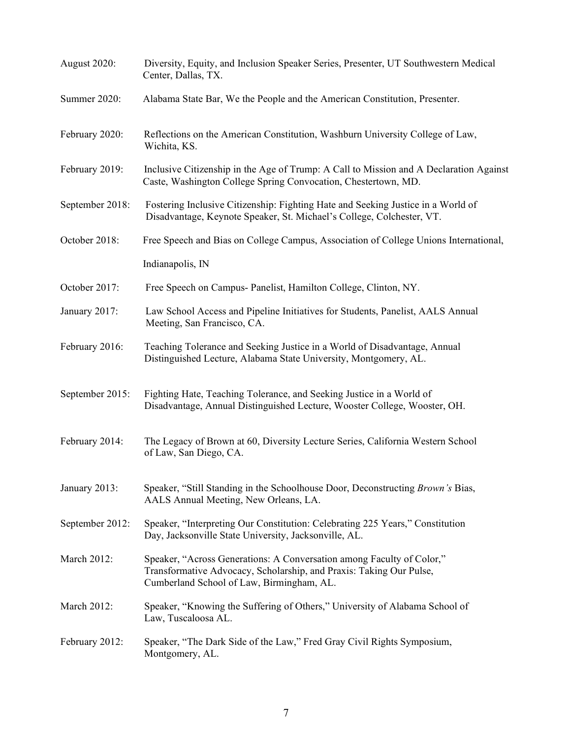| August 2020:       | Diversity, Equity, and Inclusion Speaker Series, Presenter, UT Southwestern Medical<br>Center, Dallas, TX.                                                                                |
|--------------------|-------------------------------------------------------------------------------------------------------------------------------------------------------------------------------------------|
| Summer 2020:       | Alabama State Bar, We the People and the American Constitution, Presenter.                                                                                                                |
| February 2020:     | Reflections on the American Constitution, Washburn University College of Law,<br>Wichita, KS.                                                                                             |
| February 2019:     | Inclusive Citizenship in the Age of Trump: A Call to Mission and A Declaration Against<br>Caste, Washington College Spring Convocation, Chestertown, MD.                                  |
| September 2018:    | Fostering Inclusive Citizenship: Fighting Hate and Seeking Justice in a World of<br>Disadvantage, Keynote Speaker, St. Michael's College, Colchester, VT.                                 |
| October 2018:      | Free Speech and Bias on College Campus, Association of College Unions International,                                                                                                      |
|                    | Indianapolis, IN                                                                                                                                                                          |
| October 2017:      | Free Speech on Campus- Panelist, Hamilton College, Clinton, NY.                                                                                                                           |
| January 2017:      | Law School Access and Pipeline Initiatives for Students, Panelist, AALS Annual<br>Meeting, San Francisco, CA.                                                                             |
| February 2016:     | Teaching Tolerance and Seeking Justice in a World of Disadvantage, Annual<br>Distinguished Lecture, Alabama State University, Montgomery, AL.                                             |
| September 2015:    | Fighting Hate, Teaching Tolerance, and Seeking Justice in a World of<br>Disadvantage, Annual Distinguished Lecture, Wooster College, Wooster, OH.                                         |
| February 2014:     | The Legacy of Brown at 60, Diversity Lecture Series, California Western School<br>of Law, San Diego, CA.                                                                                  |
| January 2013:      | Speaker, "Still Standing in the Schoolhouse Door, Deconstructing Brown's Bias,<br>AALS Annual Meeting, New Orleans, LA.                                                                   |
| September 2012:    | Speaker, "Interpreting Our Constitution: Celebrating 225 Years," Constitution<br>Day, Jacksonville State University, Jacksonville, AL.                                                    |
| <b>March 2012:</b> | Speaker, "Across Generations: A Conversation among Faculty of Color,"<br>Transformative Advocacy, Scholarship, and Praxis: Taking Our Pulse,<br>Cumberland School of Law, Birmingham, AL. |
| March 2012:        | Speaker, "Knowing the Suffering of Others," University of Alabama School of<br>Law, Tuscaloosa AL.                                                                                        |
| February 2012:     | Speaker, "The Dark Side of the Law," Fred Gray Civil Rights Symposium,<br>Montgomery, AL.                                                                                                 |